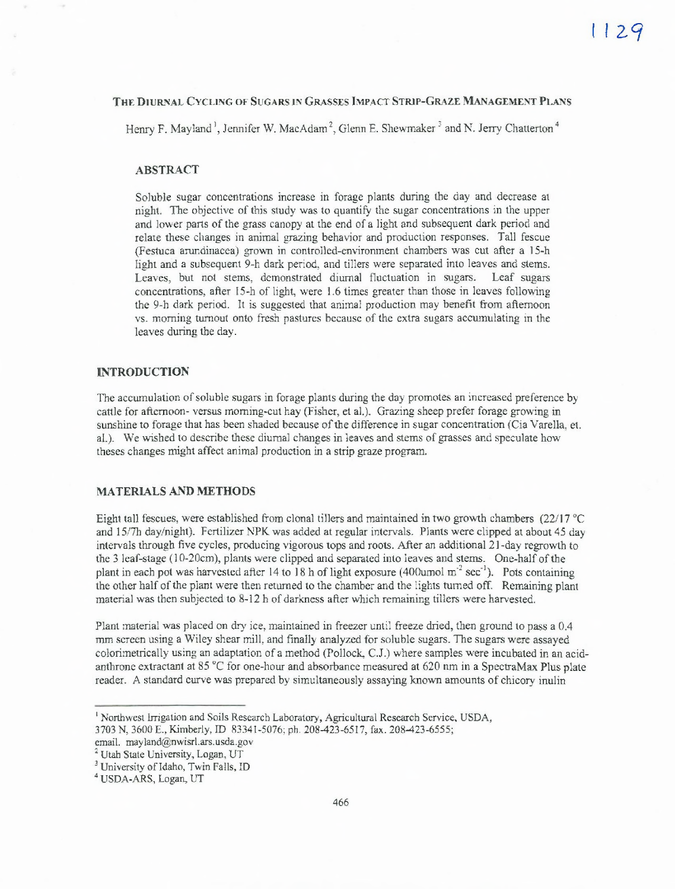#### **THE DIURNAL CYCLING OF SUGARS IN GRASSES IMPACT STRIP-GRAZE MANAGEMENT PLANS**

Henry F. Mayland<sup>1</sup>, Jennifer W. MacAdam<sup>2</sup>, Glenn E. Shewmaker<sup>3</sup> and N. Jerry Chatterton<sup>4</sup>

# **ABSTRACT**

Soluble sugar concentrations increase in forage plants during the day and decrease at night. The objective of this study was to quantify the sugar concentrations in the upper and lower parts of the grass canopy at the end of a light and subsequent dark period and relate these changes in animal grazing behavior and production responses. Tall fescue (Festuca arundinacea) grown in controlled-environment chambers was cut after a 15-h light and a subsequent 9-h dark period, and tillers were separated into leaves and stems. Leaves, but not stems, demonstrated diurnal fluctuation in sugars. Leaf sugars concentrations, after 15-h of light, were 1.6 times greater than those in leaves following the 9-h dark period. It is suggested that animal production may benefit from afternoon vs. morning turnout onto fresh pastures because of the extra sugars accumulating in the leaves during the day.

### **INTRODUCTION**

The accumulation of soluble sugars in forage plants during the day promotes an increased preference by cattle for afternoon- versus morning-cut hay (Fisher, et al.). Grazing sheep prefer forage growing in sunshine to forage that has been shaded because of the difference in sugar concentration (Cia Varella, et. al.). We wished to describe these diurnal changes in leaves and stems of grasses and speculate how theses changes might affect animal production in a strip graze program.

#### **MATERIALS AND METHODS**

Eight tall fescues, were established from clonal tillers and maintained in two growth chambers (22/17 °C and 15/7h day/night). Fertilizer NPR was added at regular intervals. Plants were clipped at about 45 day intervals through five cycles, producing vigorous tops and roots. After an additional 21-day regrowth to the 3 leaf-stage (10-20cm), plants were clipped and separated into leaves and stems. One-half of the plant in each pot was harvested after 14 to 18 h of light exposure (400umol  $m<sup>-2</sup> sec<sup>-1</sup>$ ). Pots containing the other half of the plant were then returned to the chamber and the lights turned off. Remaining plant material was then subjected to 8-12 h of darkness after which remaining tillers were harvested.

Plant material was placed on dry ice, maintained in freezer until freeze dried, then ground to pass a 0.4 mm screen using a Wiley shear mill, and finally analyzed for soluble sugars. The sugars were assayed colorimetrically using an adaptation of a method (Pollock, C.J.) where samples were incubated in an acidanthrone extractant at 85 °C for one-hour and absorbance measured at 620 nm in a SpectraMax Plus plate reader. A standard curve was prepared by simultaneously assaying known amounts of chicory inulin

<sup>&</sup>lt;sup>1</sup> Northwest Irrigation and Soils Research Laboratory, Agricultural Research Service, USDA,

<sup>3703</sup> N, 3600 E., Kimberly, ID 83341-5076; ph. 208-423-6517, fax. 208-423-6555;

email. mayland@nwisrl.ars.usda.gov

<sup>&</sup>lt;sup>2</sup> Utah State University, Logan, UT

<sup>&</sup>lt;sup>3</sup> University of Idaho, Twin Falls, ID

<sup>4</sup> USDA-ARS, Logan, UT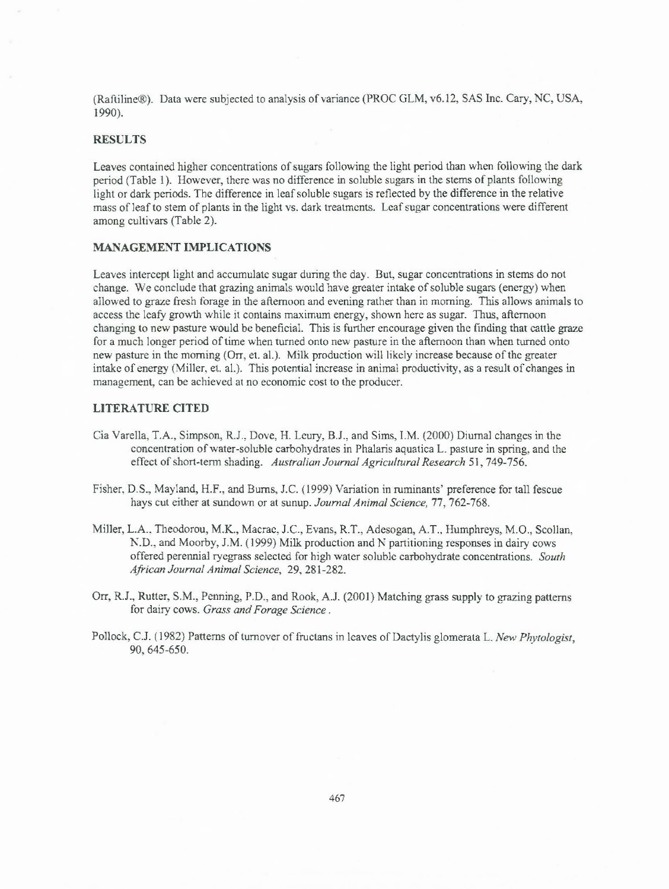(Raftiline®). Data were subjected to analysis of variance (PROC GLM, v6.12, SAS Inc. Cary, NC, USA, 1990).

# **RESULTS**

Leaves contained higher concentrations of sugars following the light period than when following the dark period (Table 1). However, there was no difference in soluble sugars in the stems of plants following light or dark periods. The difference in leaf soluble sugars is reflected by the difference in the relative mass of leaf to stem of plants in the light vs. dark treatments. Leaf sugar concentrations were different among cultivars (Table 2).

### **MANAGEMENT IMPLICATIONS**

Leaves intercept light and accumulate sugar during the day. But, sugar concentrations in stems do not change. We conclude that grazing animals would have greater intake of soluble sugars (energy) when allowed to graze fresh forage in the afternoon and evening rather than in morning. This allows animals to access the leafy growth while it contains maximum energy, shown here as sugar. Thus, afternoon changing to new pasture would be beneficial. This is further encourage given the finding that cattle graze for a much longer period of time when turned onto new pasture in the afternoon than when turned onto new pasture in the morning (Orr, et. al.). Milk production will likely increase because of the greater intake of energy (Miller, et. al.). This potential increase in animal productivity, as a result of changes in management, can be achieved at no economic cost to the producer.

# **LITERATURE CITED**

- Cia Varella, T.A., Simpson, R.J., Dove, H. Leury, B.J., and Sims, I.M. (2000) Diurnal changes in the concentration of water-soluble carbohydrates in Phalaris aquatica L. pasture in spring, and the effect of short-term shading. *Australian Journal Agricultural Research* 51, 749-756.
- Fisher, D.S., Mayland, H.F., and Burns, J.C. (1999) Variation in ruminants' preference for tall fescue hays cut either at sundown or at sunup. *Journal Animal Science, 77,* 762-768.
- Miller, L.A.. Theodorou, M.K., Macrae, J.C., Evans, R.T., Adesogan, A.T., Humphreys, M.O., Scollan, N.D.. and Moorby, J.M. (1999) Milk production and N partitioning responses in dairy cows offered perennial ryegrass selected for high water soluble carbohydrate concentrations. *South African Journal Animal Science,* 29, 281-282.
- Orr, R.J., Rutter, S.M., Penning, P.D., and Rook, A.J. (2001) Matching grass supply to grazing patterns for dairy cows. *Grass and Forage Science .*
- Pollock, C.J. (1982) Patterns of turnover of fructans in leaves of Dactylis glomerata L. *New Phvtologist,* 90, 645-650.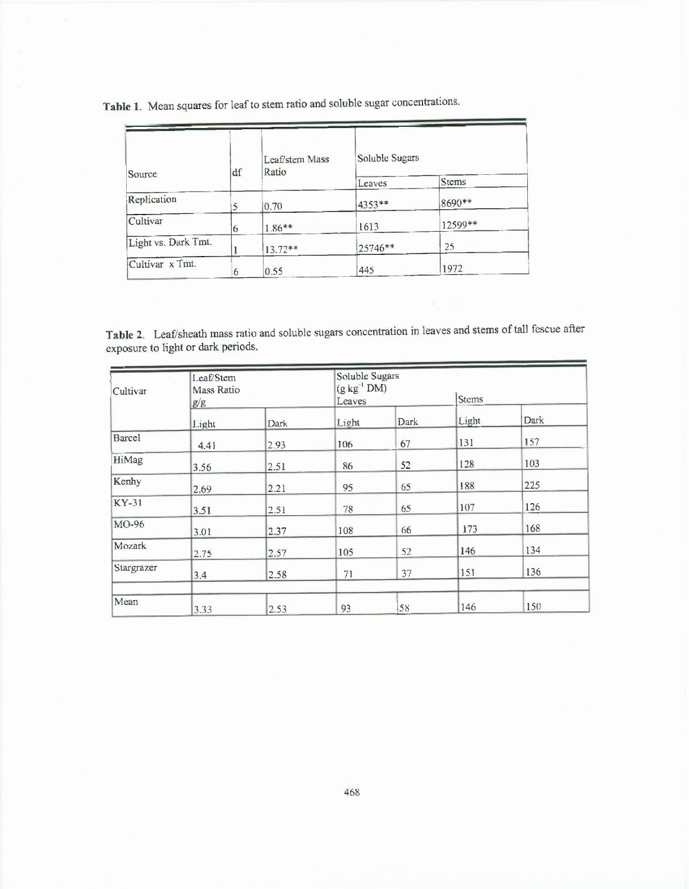**Table 1.** Mean squares for leaf to stem ratio and soluble sugar concentrations.

| Source              | df | Leaf/stem Mass<br>Ratio | Soluble Sugars |         |  |
|---------------------|----|-------------------------|----------------|---------|--|
|                     |    |                         | Leaves         | Stems   |  |
| Replication         | 5  | 0.70                    | 4353**         | 8690**  |  |
| Cultivar            | 6  | $1.86**$                | 1613           | 12599** |  |
| Light vs. Dark Tmt. |    | $13.72**$               | 25746**        | 25      |  |
| Cultivar x Tmt.     | 6  | 0.55                    | 445            | 1972    |  |

Table 2. Leaf/sheath mass ratio and soluble sugars concentration in leaves and stems of tall fescue after exposure to light or dark periods.

| Cultivar     | Leaf/Stem<br>Mass Ratio |      | Soluble Sugars<br>$(g kg^{-1} DM)$ |      |       |      |
|--------------|-------------------------|------|------------------------------------|------|-------|------|
|              | g/g                     |      | Leaves                             |      | Stems |      |
|              | Light                   | Dark | Light                              | Dark | Light | Dark |
| Barcel       | 4.41                    | 2.93 | 106                                | 67   | 131   | 157  |
| HiMag        | 3.56                    | 2.51 | 86                                 | 52   | 128   | 103  |
| Kenhy        | 2.69                    | 2.21 | 95                                 | 65   | 188   | 225  |
| <b>KY-31</b> | 3.51                    | 2.51 | 78                                 | 65   | 107   | 126  |
| MO-96        | 3.01                    | 2.37 | 108                                | 66   | 173   | 168  |
| Mozark       | 2.75                    | 2.57 | 105                                | 52   | 146   | 134  |
| Stargrazer   | 3.4                     | 2.58 | 71                                 | 37   | 151   | 136  |
| Mean         | 3.33                    | 2.53 | 93                                 | 58   | 146   | 150  |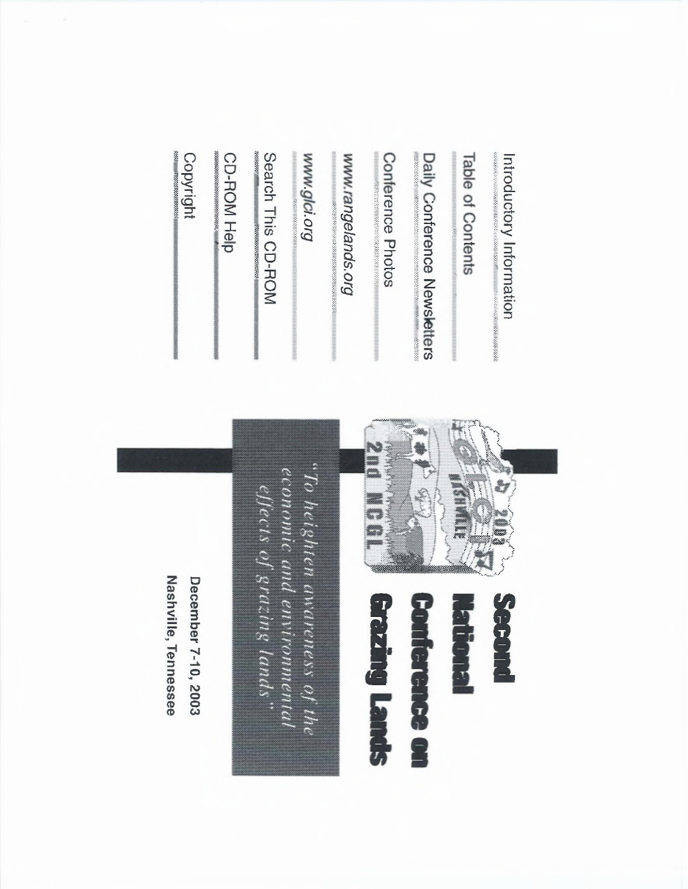Introductory Information

Table of Contents

Daily Conference Newsletters

Conference Photos

www.rangelands.org

Бло юуб ммм

Search This CD-ROM

CD-ROM Help

Copyright



**Richard** 

**Conference on** 

**azing Lands** 

**Seperature** 

 $\mu_{D}$  heighten awareness of the economic and environmental<br>effects of grazing lands..

Nashville, Tennessee December 7-10, 2003